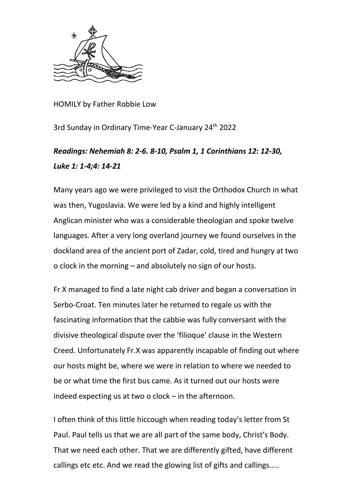

HOMILY by Father Robbie Low

3rd Sunday in Ordinary Time-Year C-January 24<sup>th</sup> 2022

## *Readings: Nehemiah 8: 2-6. 8-10, Psalm 1, 1 Corinthians 12: 12-30, Luke 1: 1-4;4: 14-21*

Many years ago we were privileged to visit the Orthodox Church in what was then, Yugoslavia. We were led by a kind and highly intelligent Anglican minister who was a considerable theologian and spoke twelve languages. After a very long overland journey we found ourselves in the dockland area of the ancient port of Zadar, cold, tired and hungry at two o clock in the morning – and absolutely no sign of our hosts.

Fr X managed to find a late night cab driver and began a conversation in Serbo-Croat. Ten minutes later he returned to regale us with the fascinating information that the cabbie was fully conversant with the divisive theological dispute over the 'filioque' clause in the Western Creed. Unfortunately Fr.X was apparently incapable of finding out where our hosts might be, where we were in relation to where we needed to be or what time the first bus came. As it turned out our hosts were indeed expecting us at two o clock – in the afternoon.

I often think of this little hiccough when reading today's letter from St Paul. Paul tells us that we are all part of the same body, Christ's Body. That we need each other. That we are differently gifted, have different callings etc etc. And we read the glowing list of gifts and callings…..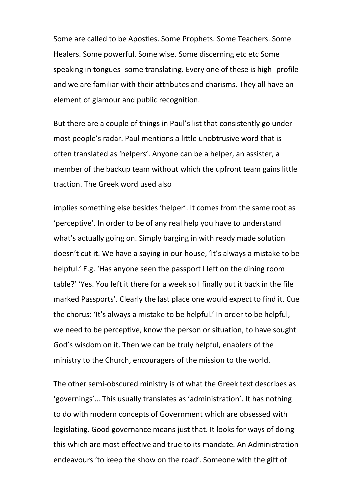Some are called to be Apostles. Some Prophets. Some Teachers. Some Healers. Some powerful. Some wise. Some discerning etc etc Some speaking in tongues- some translating. Every one of these is high- profile and we are familiar with their attributes and charisms. They all have an element of glamour and public recognition.

But there are a couple of things in Paul's list that consistently go under most people's radar. Paul mentions a little unobtrusive word that is often translated as 'helpers'. Anyone can be a helper, an assister, a member of the backup team without which the upfront team gains little traction. The Greek word used also

implies something else besides 'helper'. It comes from the same root as 'perceptive'. In order to be of any real help you have to understand what's actually going on. Simply barging in with ready made solution doesn't cut it. We have a saying in our house, 'It's always a mistake to be helpful.' E.g. 'Has anyone seen the passport I left on the dining room table?' 'Yes. You left it there for a week so I finally put it back in the file marked Passports'. Clearly the last place one would expect to find it. Cue the chorus: 'It's always a mistake to be helpful.' In order to be helpful, we need to be perceptive, know the person or situation, to have sought God's wisdom on it. Then we can be truly helpful, enablers of the ministry to the Church, encouragers of the mission to the world.

The other semi-obscured ministry is of what the Greek text describes as 'governings'… This usually translates as 'administration'. It has nothing to do with modern concepts of Government which are obsessed with legislating. Good governance means just that. It looks for ways of doing this which are most effective and true to its mandate. An Administration endeavours 'to keep the show on the road'. Someone with the gift of